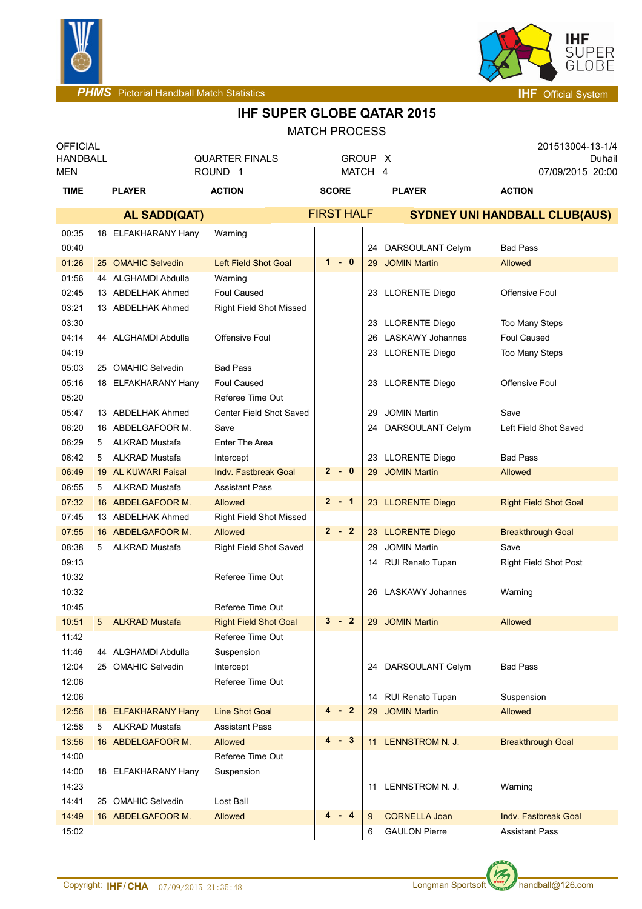



**IHF SUPER GLOBE QATAR 2015**

| <b>MATCH PROCESS</b> |                                    |                       |                                |                   |         |    |                                          |                              |  |
|----------------------|------------------------------------|-----------------------|--------------------------------|-------------------|---------|----|------------------------------------------|------------------------------|--|
|                      | <b>OFFICIAL</b><br><b>HANDBALL</b> |                       | <b>QUARTER FINALS</b>          |                   | GROUP X |    |                                          | 201513004-13-1/4<br>Duhail   |  |
| <b>MEN</b>           |                                    |                       | ROUND <sub>1</sub>             |                   | MATCH 4 |    |                                          | 07/09/2015 20:00             |  |
| <b>TIME</b>          |                                    | <b>PLAYER</b>         | <b>ACTION</b><br><b>SCORE</b>  |                   |         |    | <b>PLAYER</b>                            | <b>ACTION</b>                |  |
|                      |                                    | AL SADD(QAT)          |                                | <b>FIRST HALF</b> |         |    | <b>SYDNEY UNI HANDBALL CLUB(AUS)</b>     |                              |  |
| 00:35                |                                    | 18 ELFAKHARANY Hany   | Warning                        |                   |         |    |                                          |                              |  |
| 00:40                |                                    |                       |                                |                   |         |    | 24 DARSOULANT Celym                      | <b>Bad Pass</b>              |  |
| 01:26                |                                    | 25 OMAHIC Selvedin    | <b>Left Field Shot Goal</b>    |                   | $1 - 0$ |    | 29 JOMIN Martin                          | Allowed                      |  |
| 01:56                |                                    | 44 ALGHAMDI Abdulla   | Warning                        |                   |         |    |                                          |                              |  |
| 02:45                |                                    | 13 ABDELHAK Ahmed     | <b>Foul Caused</b>             |                   |         |    | 23 LLORENTE Diego                        | Offensive Foul               |  |
| 03:21                |                                    | 13 ABDELHAK Ahmed     | <b>Right Field Shot Missed</b> |                   |         |    |                                          |                              |  |
| 03:30                |                                    |                       |                                |                   |         |    | 23 LLORENTE Diego                        | <b>Too Many Steps</b>        |  |
| 04:14                |                                    | 44 ALGHAMDI Abdulla   | <b>Offensive Foul</b>          |                   |         | 26 | <b>LASKAWY Johannes</b>                  | Foul Caused                  |  |
| 04:19                |                                    |                       |                                |                   |         |    | 23 LLORENTE Diego                        | <b>Too Many Steps</b>        |  |
| 05:03                |                                    | 25 OMAHIC Selvedin    | <b>Bad Pass</b>                |                   |         |    |                                          |                              |  |
| 05:16                |                                    | 18 ELFAKHARANY Hany   | <b>Foul Caused</b>             |                   |         |    | 23 LLORENTE Diego                        | Offensive Foul               |  |
| 05:20                |                                    |                       | Referee Time Out               |                   |         |    |                                          |                              |  |
| 05:47                |                                    | 13 ABDELHAK Ahmed     | Center Field Shot Saved        |                   |         | 29 | <b>JOMIN Martin</b>                      | Save                         |  |
| 06:20                |                                    | 16 ABDELGAFOOR M.     | Save                           |                   |         | 24 | DARSOULANT Celym                         | Left Field Shot Saved        |  |
| 06:29                | 5                                  | <b>ALKRAD Mustafa</b> | <b>Enter The Area</b>          |                   |         |    |                                          |                              |  |
| 06:42                |                                    | <b>ALKRAD Mustafa</b> |                                |                   |         |    |                                          | <b>Bad Pass</b>              |  |
|                      | 5                                  |                       | Intercept                      |                   | $2 - 0$ |    | 23 LLORENTE Diego<br><b>JOMIN Martin</b> |                              |  |
| 06:49                |                                    | 19 AL KUWARI Faisal   | <b>Indy. Fastbreak Goal</b>    |                   |         | 29 |                                          | Allowed                      |  |
| 06:55                | 5                                  | <b>ALKRAD Mustafa</b> | <b>Assistant Pass</b>          |                   |         |    |                                          |                              |  |
| 07:32                |                                    | 16 ABDELGAFOOR M.     | Allowed                        |                   | $2 - 1$ |    | 23 LLORENTE Diego                        | <b>Right Field Shot Goal</b> |  |
| 07:45                |                                    | 13 ABDELHAK Ahmed     | <b>Right Field Shot Missed</b> |                   |         |    |                                          |                              |  |
| 07:55                |                                    | 16 ABDELGAFOOR M.     | Allowed                        |                   | $2 - 2$ |    | 23 LLORENTE Diego                        | <b>Breakthrough Goal</b>     |  |
| 08:38                | 5                                  | <b>ALKRAD Mustafa</b> | <b>Right Field Shot Saved</b>  |                   |         | 29 | <b>JOMIN Martin</b>                      | Save                         |  |
| 09:13                |                                    |                       |                                |                   |         | 14 | RUI Renato Tupan                         | <b>Right Field Shot Post</b> |  |
| 10:32                |                                    |                       | Referee Time Out               |                   |         |    |                                          |                              |  |
| 10:32                |                                    |                       |                                |                   |         | 26 | <b>LASKAWY Johannes</b>                  | Warning                      |  |
| 10:45                |                                    |                       | Referee Time Out               |                   |         |    |                                          |                              |  |
| 10:51                | 5                                  | <b>ALKRAD Mustafa</b> | <b>Right Field Shot Goal</b>   |                   | $3 - 2$ |    | 29 JOMIN Martin                          | Allowed                      |  |
| 11:42                |                                    |                       | Referee Time Out               |                   |         |    |                                          |                              |  |
| 11:46                |                                    | 44 ALGHAMDI Abdulla   | Suspension                     |                   |         |    |                                          |                              |  |
| 12:04                |                                    | 25 OMAHIC Selvedin    | Intercept                      |                   |         |    | 24 DARSOULANT Celym                      | <b>Bad Pass</b>              |  |
| 12:06                |                                    |                       | Referee Time Out               |                   |         |    |                                          |                              |  |
| 12:06                |                                    |                       |                                |                   |         |    | 14 RUI Renato Tupan                      | Suspension                   |  |
| 12:56                |                                    | 18 ELFAKHARANY Hany   | <b>Line Shot Goal</b>          |                   | - 2     | 29 | <b>JOMIN Martin</b>                      | Allowed                      |  |
| 12:58                | 5                                  | <b>ALKRAD Mustafa</b> | <b>Assistant Pass</b>          |                   |         |    |                                          |                              |  |
| 13:56                |                                    | 16 ABDELGAFOOR M.     | Allowed                        | 4                 | $-3$    |    | 11 LENNSTROM N. J.                       | <b>Breakthrough Goal</b>     |  |
| 14:00                |                                    |                       | Referee Time Out               |                   |         |    |                                          |                              |  |
| 14:00                |                                    | 18 ELFAKHARANY Hany   | Suspension                     |                   |         |    |                                          |                              |  |
| 14:23                |                                    |                       |                                |                   |         |    | LENNSTROM N. J.                          | Warning                      |  |
|                      |                                    |                       |                                |                   |         | 11 |                                          |                              |  |
| 14:41                |                                    | 25 OMAHIC Selvedin    | Lost Ball                      |                   |         |    |                                          |                              |  |
| 14:49                |                                    | 16 ABDELGAFOOR M.     | Allowed                        |                   | 4       | 9  | <b>CORNELLA Joan</b>                     | Indy. Fastbreak Goal         |  |
| 15:02                |                                    |                       |                                |                   |         | 6  | <b>GAULON Pierre</b>                     | Assistant Pass               |  |

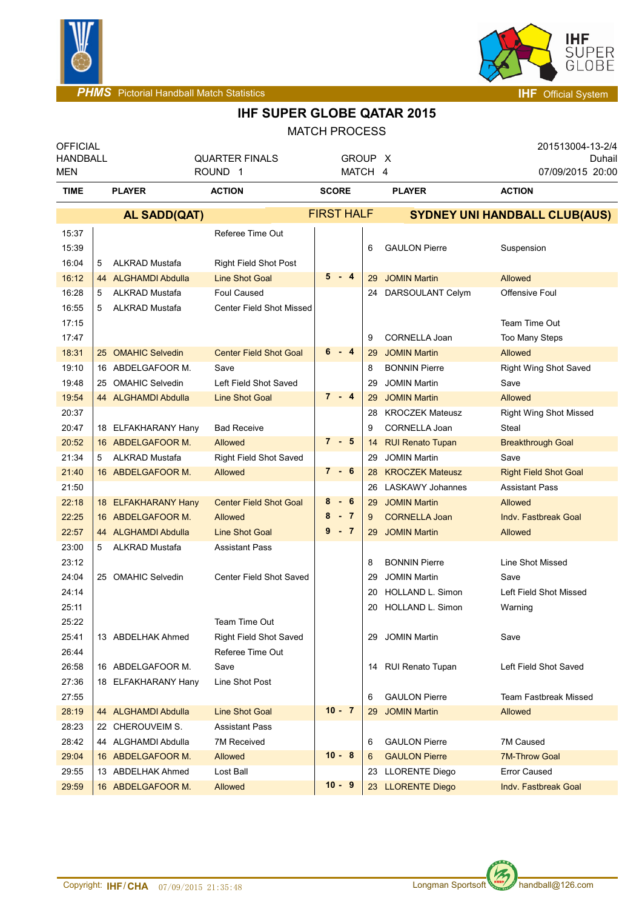



## **IHF SUPER GLOBE QATAR 2015**

MATCH PROCESS

| <b>OFFICIAL</b><br><b>HANDBALL</b><br>MEN |   | <b>QUARTER FINALS</b><br>ROUND <sub>1</sub> | GROUP X<br>MATCH 4              |                   |    | 201513004-13-2/4<br>Duhail<br>07/09/2015 20:00 |                                      |
|-------------------------------------------|---|---------------------------------------------|---------------------------------|-------------------|----|------------------------------------------------|--------------------------------------|
| <b>TIME</b>                               |   | <b>PLAYER</b>                               | <b>ACTION</b>                   | <b>SCORE</b>      |    | <b>PLAYER</b>                                  | <b>ACTION</b>                        |
|                                           |   | <b>AL SADD(QAT)</b>                         |                                 | <b>FIRST HALF</b> |    |                                                | <b>SYDNEY UNI HANDBALL CLUB(AUS)</b> |
| 15:37                                     |   |                                             | Referee Time Out                |                   |    |                                                |                                      |
| 15:39                                     |   |                                             |                                 |                   | 6  | <b>GAULON Pierre</b>                           | Suspension                           |
| 16:04                                     | 5 | <b>ALKRAD Mustafa</b>                       | Right Field Shot Post           |                   |    |                                                |                                      |
| 16:12                                     |   | 44 ALGHAMDI Abdulla                         | <b>Line Shot Goal</b>           | $5 - 4$           | 29 | <b>JOMIN Martin</b>                            | Allowed                              |
| 16:28                                     | 5 | <b>ALKRAD Mustafa</b>                       | <b>Foul Caused</b>              |                   | 24 | DARSOULANT Celym                               | Offensive Foul                       |
| 16:55                                     | 5 | <b>ALKRAD Mustafa</b>                       | <b>Center Field Shot Missed</b> |                   |    |                                                |                                      |
| 17:15                                     |   |                                             |                                 |                   |    |                                                | Team Time Out                        |
| 17:47                                     |   |                                             |                                 |                   | 9  | CORNELLA Joan                                  | Too Many Steps                       |
| 18:31                                     |   | 25 OMAHIC Selvedin                          | <b>Center Field Shot Goal</b>   | 6<br>- 4          | 29 | <b>JOMIN Martin</b>                            | Allowed                              |
| 19:10                                     |   | 16 ABDELGAFOOR M.                           | Save                            |                   | 8  | <b>BONNIN Pierre</b>                           | Right Wing Shot Saved                |
| 19:48                                     |   | 25 OMAHIC Selvedin                          | Left Field Shot Saved           |                   | 29 | <b>JOMIN Martin</b>                            | Save                                 |
| 19:54                                     |   | 44 ALGHAMDI Abdulla                         | <b>Line Shot Goal</b>           | $7 - 4$           | 29 | <b>JOMIN Martin</b>                            | Allowed                              |
| 20:37                                     |   |                                             |                                 |                   | 28 | <b>KROCZEK Mateusz</b>                         | <b>Right Wing Shot Missed</b>        |
| 20:47                                     |   | 18 ELFAKHARANY Hany                         | <b>Bad Receive</b>              |                   | 9  | CORNELLA Joan                                  | Steal                                |
| 20:52                                     |   | 16 ABDELGAFOOR M.                           | Allowed                         | $7 - 5$           |    | 14 RUI Renato Tupan                            | <b>Breakthrough Goal</b>             |
| 21:34                                     | 5 | <b>ALKRAD Mustafa</b>                       | <b>Right Field Shot Saved</b>   |                   | 29 | <b>JOMIN Martin</b>                            | Save                                 |
| 21:40                                     |   | 16 ABDELGAFOOR M.                           | <b>Allowed</b>                  | $7 - 6$           | 28 | <b>KROCZEK Mateusz</b>                         | <b>Right Field Shot Goal</b>         |
| 21:50                                     |   |                                             |                                 |                   | 26 | <b>LASKAWY Johannes</b>                        | <b>Assistant Pass</b>                |
| 22:18                                     |   | 18 ELFAKHARANY Hany                         | <b>Center Field Shot Goal</b>   | $8 - 6$           | 29 | <b>JOMIN Martin</b>                            | Allowed                              |
| 22:25                                     |   | 16 ABDELGAFOOR M.                           | Allowed                         | $-7$<br>8         | 9  | <b>CORNELLA Joan</b>                           | <b>Indv. Fastbreak Goal</b>          |
| 22:57                                     |   | 44 ALGHAMDI Abdulla                         | <b>Line Shot Goal</b>           | $9 - 7$           | 29 | <b>JOMIN Martin</b>                            | <b>Allowed</b>                       |
| 23:00                                     | 5 | <b>ALKRAD Mustafa</b>                       | <b>Assistant Pass</b>           |                   |    |                                                |                                      |
| 23:12                                     |   |                                             |                                 |                   | 8  | <b>BONNIN Pierre</b>                           | Line Shot Missed                     |
| 24:04                                     |   | 25 OMAHIC Selvedin                          | Center Field Shot Saved         |                   | 29 | <b>JOMIN Martin</b>                            | Save                                 |
| 24:14                                     |   |                                             |                                 |                   | 20 | HOLLAND L. Simon                               | Left Field Shot Missed               |
| 25:11                                     |   |                                             |                                 |                   | 20 | <b>HOLLAND L. Simon</b>                        | Warning                              |
| 25:22                                     |   |                                             | Team Time Out                   |                   |    |                                                |                                      |
| 25:41                                     |   | 13 ABDELHAK Ahmed                           | <b>Right Field Shot Saved</b>   |                   |    | 29 JOMIN Martin                                | Save                                 |
| 26:44                                     |   |                                             | Referee Time Out                |                   |    |                                                |                                      |
| 26:58                                     |   | 16 ABDELGAFOOR M.                           | Save                            |                   |    | 14 RUI Renato Tupan                            | Left Field Shot Saved                |
| 27:36                                     |   | 18 ELFAKHARANY Hany                         | Line Shot Post                  |                   |    |                                                |                                      |
| 27:55                                     |   |                                             |                                 |                   | 6  | <b>GAULON Pierre</b>                           | Team Fastbreak Missed                |
| 28:19                                     |   | 44 ALGHAMDI Abdulla                         | <b>Line Shot Goal</b>           | $10 - 7$          | 29 | <b>JOMIN Martin</b>                            | Allowed                              |
| 28:23                                     |   | 22 CHEROUVEIM S.                            | <b>Assistant Pass</b>           |                   |    |                                                |                                      |
| 28:42                                     |   | 44 ALGHAMDI Abdulla                         | 7M Received                     |                   | 6  | <b>GAULON Pierre</b>                           | 7M Caused                            |
| 29:04                                     |   | 16 ABDELGAFOOR M.                           | Allowed                         | $10 - 8$          | 6  | <b>GAULON Pierre</b>                           | <b>7M-Throw Goal</b>                 |
| 29:55                                     |   | 13 ABDELHAK Ahmed                           | Lost Ball                       |                   |    | 23 LLORENTE Diego                              | <b>Error Caused</b>                  |
| 29:59                                     |   | 16 ABDELGAFOOR M.                           | Allowed                         | $10 - 9$          |    | 23 LLORENTE Diego                              | Indv. Fastbreak Goal                 |
|                                           |   |                                             |                                 |                   |    |                                                |                                      |

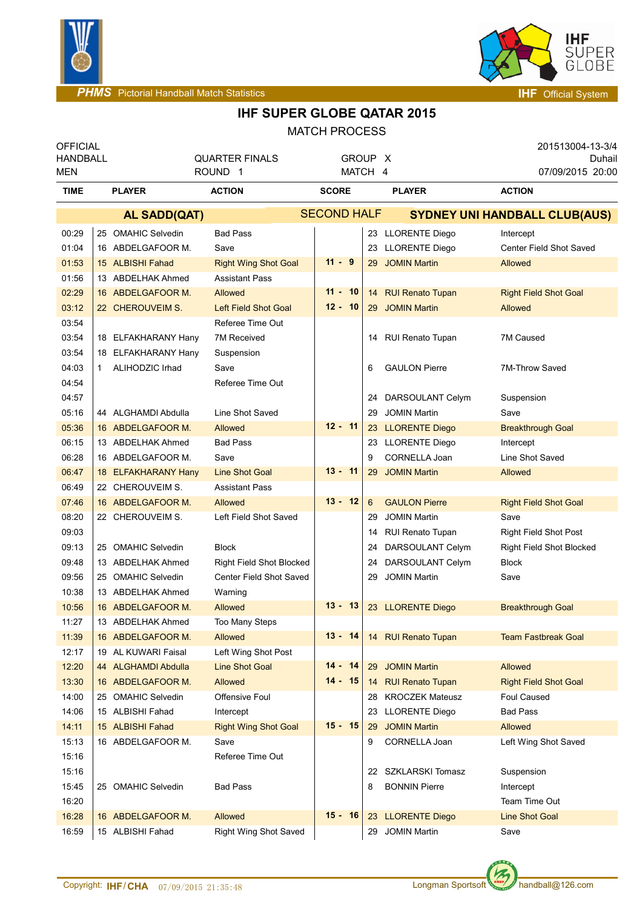



## **IHF SUPER GLOBE QATAR 2015**

MATCH PROCESS

| <b>OFFICIAL</b><br><b>HANDBALL</b><br>MEN |    |                                         | <b>QUARTER FINALS</b><br>ROUND <sub>1</sub> |                    | GROUP X<br>MATCH 4 |          |                                              | 201513004-13-3/4<br>Duhail<br>07/09/2015 20:00 |  |  |
|-------------------------------------------|----|-----------------------------------------|---------------------------------------------|--------------------|--------------------|----------|----------------------------------------------|------------------------------------------------|--|--|
| <b>TIME</b>                               |    | <b>PLAYER</b>                           | <b>ACTION</b>                               |                    | <b>SCORE</b>       |          | <b>PLAYER</b>                                | <b>ACTION</b>                                  |  |  |
|                                           |    | <b>AL SADD(QAT)</b>                     |                                             | <b>SECOND HALF</b> |                    |          | <b>SYDNEY UNI HANDBALL CLUB(AUS)</b>         |                                                |  |  |
| 00:29                                     |    | 25 OMAHIC Selvedin                      | <b>Bad Pass</b>                             |                    |                    |          | 23 LLORENTE Diego                            | Intercept                                      |  |  |
| 01:04                                     |    | 16 ABDELGAFOOR M.                       | Save                                        |                    |                    |          | 23 LLORENTE Diego                            | Center Field Shot Saved                        |  |  |
| 01:53                                     |    | 15 ALBISHI Fahad                        | <b>Right Wing Shot Goal</b>                 | $11 - 9$           |                    | 29       | <b>JOMIN Martin</b>                          | <b>Allowed</b>                                 |  |  |
| 01:56                                     |    | 13 ABDELHAK Ahmed                       | <b>Assistant Pass</b>                       |                    |                    |          |                                              |                                                |  |  |
| 02:29                                     |    | 16 ABDELGAFOOR M.                       | Allowed                                     | $11 - 10$          |                    |          | 14 RUI Renato Tupan                          | <b>Right Field Shot Goal</b>                   |  |  |
| 03:12                                     |    | 22 CHEROUVEIM S.                        | <b>Left Field Shot Goal</b>                 | $12 - 10$          |                    |          | 29 JOMIN Martin                              | <b>Allowed</b>                                 |  |  |
| 03:54                                     |    |                                         | Referee Time Out                            |                    |                    |          |                                              |                                                |  |  |
| 03:54                                     |    | 18 ELFAKHARANY Hany                     | 7M Received                                 |                    |                    |          | 14 RUI Renato Tupan                          | 7M Caused                                      |  |  |
| 03:54                                     |    | 18 ELFAKHARANY Hany                     | Suspension                                  |                    |                    |          |                                              |                                                |  |  |
| 04:03                                     | 1. | ALIHODZIC Irhad                         | Save                                        |                    |                    | 6        | <b>GAULON Pierre</b>                         | 7M-Throw Saved                                 |  |  |
| 04:54                                     |    |                                         | Referee Time Out                            |                    |                    |          |                                              |                                                |  |  |
| 04:57                                     |    |                                         |                                             |                    |                    | 24       | DARSOULANT Celym                             | Suspension                                     |  |  |
| 05:16                                     |    | 44 ALGHAMDI Abdulla                     | Line Shot Saved                             |                    |                    | 29       | <b>JOMIN Martin</b>                          | Save                                           |  |  |
| 05:36                                     |    | 16 ABDELGAFOOR M.                       | Allowed                                     | $12 - 11$          |                    | 23       | <b>LLORENTE Diego</b>                        | <b>Breakthrough Goal</b>                       |  |  |
| 06:15                                     |    | 13 ABDELHAK Ahmed                       | <b>Bad Pass</b>                             |                    |                    | 23       | <b>LLORENTE Diego</b>                        | Intercept                                      |  |  |
| 06:28                                     |    | 16 ABDELGAFOOR M.                       | Save                                        |                    |                    | 9        | CORNELLA Joan                                | Line Shot Saved                                |  |  |
| 06:47                                     |    | 18 ELFAKHARANY Hany                     | <b>Line Shot Goal</b>                       | $13 - 11$          |                    | 29       | <b>JOMIN Martin</b>                          | Allowed                                        |  |  |
| 06:49                                     |    | 22 CHEROUVEIM S.                        | <b>Assistant Pass</b>                       |                    |                    |          |                                              |                                                |  |  |
| 07:46                                     |    | 16 ABDELGAFOOR M.                       | Allowed                                     | $13 - 12$          |                    | 6        | <b>GAULON Pierre</b>                         | <b>Right Field Shot Goal</b>                   |  |  |
| 08:20                                     |    | 22 CHEROUVEIM S.                        | Left Field Shot Saved                       |                    |                    | 29       | <b>JOMIN Martin</b>                          | Save                                           |  |  |
| 09:03                                     |    |                                         |                                             |                    |                    | 14       | <b>RUI Renato Tupan</b>                      | <b>Right Field Shot Post</b>                   |  |  |
| 09:13                                     |    | 25 OMAHIC Selvedin                      | <b>Block</b>                                |                    |                    | 24       | DARSOULANT Celym                             | <b>Right Field Shot Blocked</b>                |  |  |
| 09:48                                     |    | 13 ABDELHAK Ahmed                       | <b>Right Field Shot Blocked</b>             |                    |                    | 24       | DARSOULANT Celym                             | <b>Block</b>                                   |  |  |
| 09:56                                     |    | 25 OMAHIC Selvedin                      | Center Field Shot Saved                     |                    |                    | 29       | <b>JOMIN Martin</b>                          | Save                                           |  |  |
| 10:38                                     |    | 13 ABDELHAK Ahmed                       | Warning                                     |                    |                    |          |                                              |                                                |  |  |
| 10:56                                     |    | 16 ABDELGAFOOR M.                       | <b>Allowed</b>                              | $13 - 13$          |                    |          | 23 LLORENTE Diego                            | <b>Breakthrough Goal</b>                       |  |  |
| 11:27                                     |    | 13 ABDELHAK Ahmed                       | Too Many Steps                              |                    |                    |          |                                              |                                                |  |  |
| 11:39                                     |    | 16 ABDELGAFOOR M.                       | <b>Allowed</b>                              | $13 - 14$          |                    |          | 14 RUI Renato Tupan                          | <b>Team Fastbreak Goal</b>                     |  |  |
| 12:17                                     |    | 19 AL KUWARI Faisal                     | Left Wing Shot Post                         | $14 - 14$          |                    |          |                                              |                                                |  |  |
| 12:20                                     |    | 44 ALGHAMDI Abdulla                     | <b>Line Shot Goal</b>                       | $14 - 15$          |                    |          | 29 JOMIN Martin                              | Allowed                                        |  |  |
| 13:30                                     |    | 16 ABDELGAFOOR M.<br>25 OMAHIC Selvedin | Allowed                                     |                    |                    |          | 14 RUI Renato Tupan                          | <b>Right Field Shot Goal</b>                   |  |  |
| 14:00                                     |    | 15 ALBISHI Fahad                        | <b>Offensive Foul</b>                       |                    |                    |          | 28 KROCZEK Mateusz                           | Foul Caused                                    |  |  |
| 14:06<br>14:11                            |    | 15 ALBISHI Fahad                        | Intercept<br><b>Right Wing Shot Goal</b>    | $15 - 15$          |                    | 23<br>29 | <b>LLORENTE Diego</b><br><b>JOMIN Martin</b> | Bad Pass<br>Allowed                            |  |  |
| 15:13                                     |    | 16 ABDELGAFOOR M.                       | Save                                        |                    |                    | 9        | CORNELLA Joan                                | Left Wing Shot Saved                           |  |  |
| 15:16                                     |    |                                         | Referee Time Out                            |                    |                    |          |                                              |                                                |  |  |
| 15:16                                     |    |                                         |                                             |                    |                    |          | 22 SZKLARSKI Tomasz                          | Suspension                                     |  |  |
| 15:45                                     |    | 25 OMAHIC Selvedin                      | <b>Bad Pass</b>                             |                    |                    | 8        | <b>BONNIN Pierre</b>                         | Intercept                                      |  |  |
| 16:20                                     |    |                                         |                                             |                    |                    |          |                                              | Team Time Out                                  |  |  |
| 16:28                                     |    | 16 ABDELGAFOOR M.                       | Allowed                                     | $15 - 16$          |                    |          | 23 LLORENTE Diego                            | <b>Line Shot Goal</b>                          |  |  |
| 16:59                                     |    | 15 ALBISHI Fahad                        | Right Wing Shot Saved                       |                    |                    | 29       | <b>JOMIN Martin</b>                          | Save                                           |  |  |
|                                           |    |                                         |                                             |                    |                    |          |                                              |                                                |  |  |